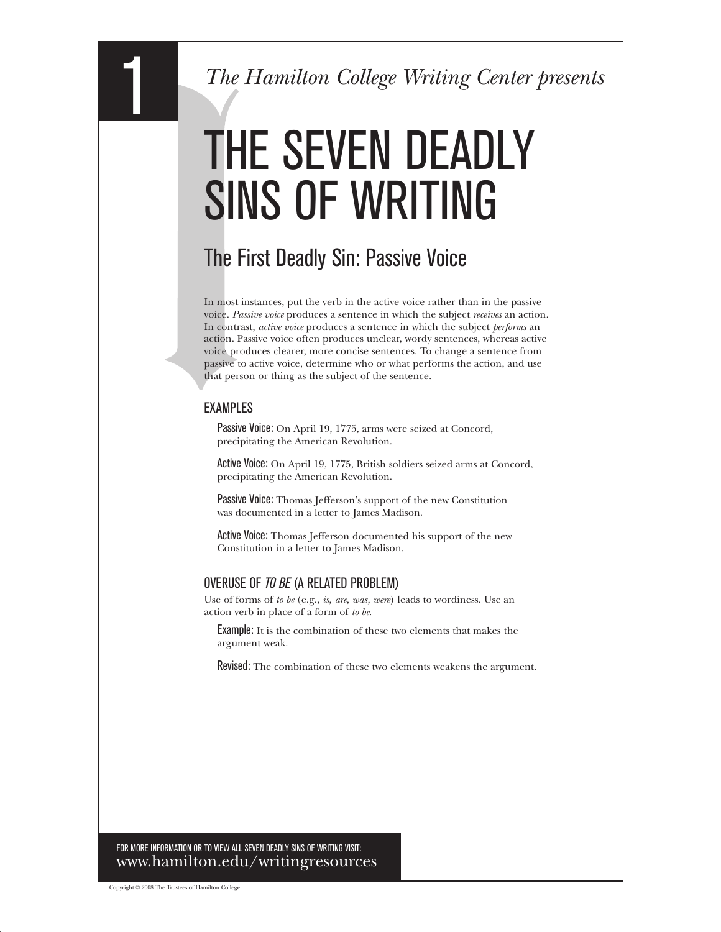# THE SEVEN DEADLY SINS OF WRITING

## The First Deadly Sin: Passive Voice

In most instances, put the verb in the active voice rather than in the passive voice. *Passive voice* produces a sentence in which the subject *receives* an action. In contrast, *active voice* produces a sentence in which the subject *performs* an action. Passive voice often produces unclear, wordy sentences, whereas active voice produces clearer, more concise sentences. To change a sentence from passive to active voice, determine who or what performs the action, and use that person or thing as the subject of the sentence.

#### EXAMPLES

Passive Voice: On April 19, 1775, arms were seized at Concord, precipitating the American Revolution.

Active Voice: On April 19, 1775, British soldiers seized arms at Concord, precipitating the American Revolution.

Passive Voice: Thomas Jefferson's support of the new Constitution was documented in a letter to James Madison.

Active Voice: Thomas Jefferson documented his support of the new Constitution in a letter to James Madison.

### OVERUSE OF *TO BE* (A RELATED PROBLEM)

Use of forms of *to be* (e.g., *is, are, was, were*) leads to wordiness. Use an action verb in place of a form of *to be*.

Example: It is the combination of these two elements that makes the argument weak.

Revised: The combination of these two elements weakens the argument.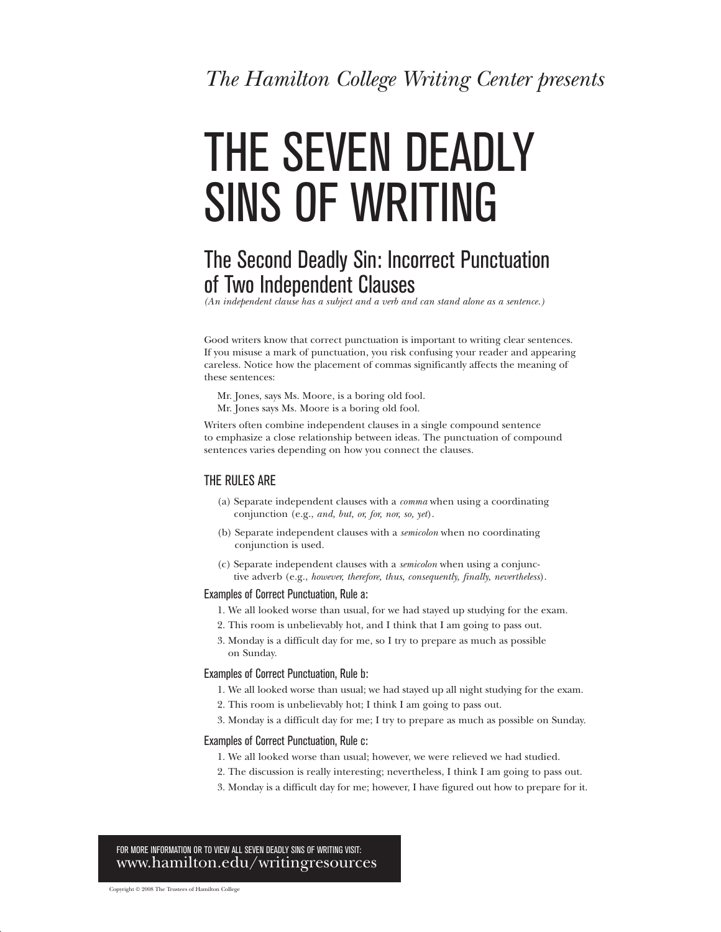# THE SEVEN DEADLY SINS OF WRITING

### The Second Deadly Sin: Incorrect Punctuation of Two Independent Clauses

*(An independent clause has a subject and a verb and can stand alone as a sentence )* 

Good writers know that correct punctuation is important to writing clear sentences. If you misuse a mark of punctuation, you risk confusing your reader and appearing careless. Notice how the placement of commas significantly affects the meaning of these sentences:

Mr. Jones, says Ms. Moore, is a boring old fool. Mr. Jones says Ms. Moore is a boring old fool.

Writers often combine independent clauses in a single compound sentence to emphasize a close relationship between ideas. The punctuation of compound sentences varies depending on how you connect the clauses.

#### THE RULES ARE

- (a) Separate independent clauses with a *comma* when using a coordinating conjunction (e.g., *and, but, or, for, nor, so, yet*).
- (b) Separate independent clauses with a *semicolon* when no coordinating conjunction is used.
- (c) Separate independent clauses with a *semicolon* when using a conjunc tive adverb (e.g., *however, therefore, thus, consequently, finally, nevertheless*).

#### Examples of Correct Punctuation, Rule a:

- 1. We all looked worse than usual, for we had stayed up studying for the exam.
- 2. This room is unbelievably hot, and I think that I am going to pass out.
- 3. Monday is a difficult day for me, so I try to prepare as much as possible on Sunday.

#### Examples of Correct Punctuation, Rule b:

- 1. We all looked worse than usual; we had stayed up all night studying for the exam.
- 2. This room is unbelievably hot; I think I am going to pass out.
- 3. Monday is a difficult day for me; I try to prepare as much as possible on Sunday.

#### Examples of Correct Punctuation, Rule c:

- 1. We all looked worse than usual; however, we were relieved we had studied.
- . The discussion is really interesting; nevertheless, I think I am going to pass out. 2
- . Monday is a difficult day for me; however, I have figured out how to prepare for it. 3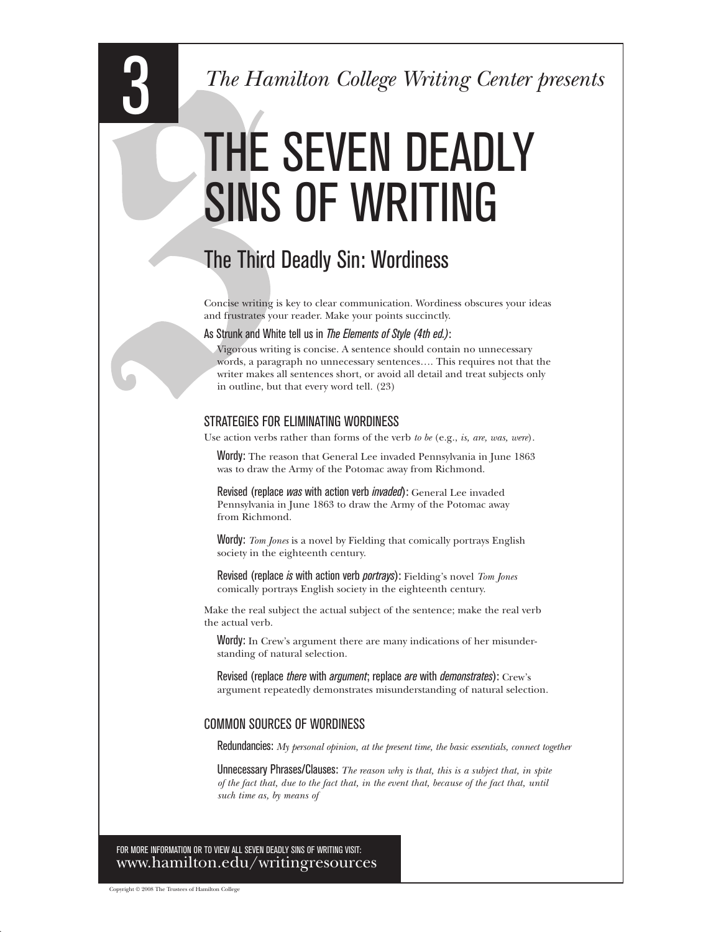# THE SEVEN DEADLY SINS OF WRITING

# The Third Deadly Sin: Wordiness

Concise writing is key to clear communication. Wordiness obscures your ideas and frustrates your reader. Make your points succinctly.

As Strunk and White tell us in *The Elements of Style (4th ed.)*:

Vigorous writing is concise. A sentence should contain no unnecessary words, a paragraph no unnecessary sentences…. This requires not that the writer makes all sentences short, or avoid all detail and treat subjects only in outline, but that every word tell. (23)

#### STRATEGIES FOR ELIMINATING WORDINESS

Use action verbs rather than forms of the verb *to be* (e.g., *is, are, was, were*).

Wordy: The reason that General Lee invaded Pennsylvania in June 1863 was to draw the Army of the Potomac away from Richmond.

Revised (replace *was* with action verb *invaded*): General Lee invaded Pennsylvania in June 1863 to draw the Army of the Potomac away from Richmond.

Wordy: *Tom Jones* is a novel by Fielding that comically portrays English society in the eighteenth century.

Revised (replace *is* with action verb *portrays*): Fielding's novel *Tom Jones*  comically portrays English society in the eighteenth century.

Make the real subject the actual subject of the sentence; make the real verb the actual verb.

Wordy: In Crew's argument there are many indications of her misunderstanding of natural selection.

Revised (replace *there* with *argument*; replace *are* with *demonstrates*): Crew's argument repeatedly demonstrates misunderstanding of natural selection.

### COMMON SOURCES OF WORDINESS

Redundancies: *My personal opinion, at the present time, the basic essentials, connect together* 

Unnecessary Phrases/Clauses: *The reason why is that, this is a subject that, in spite of the fact that, due to the fact that, in the event that, because of the fact that, until such time as, by means of*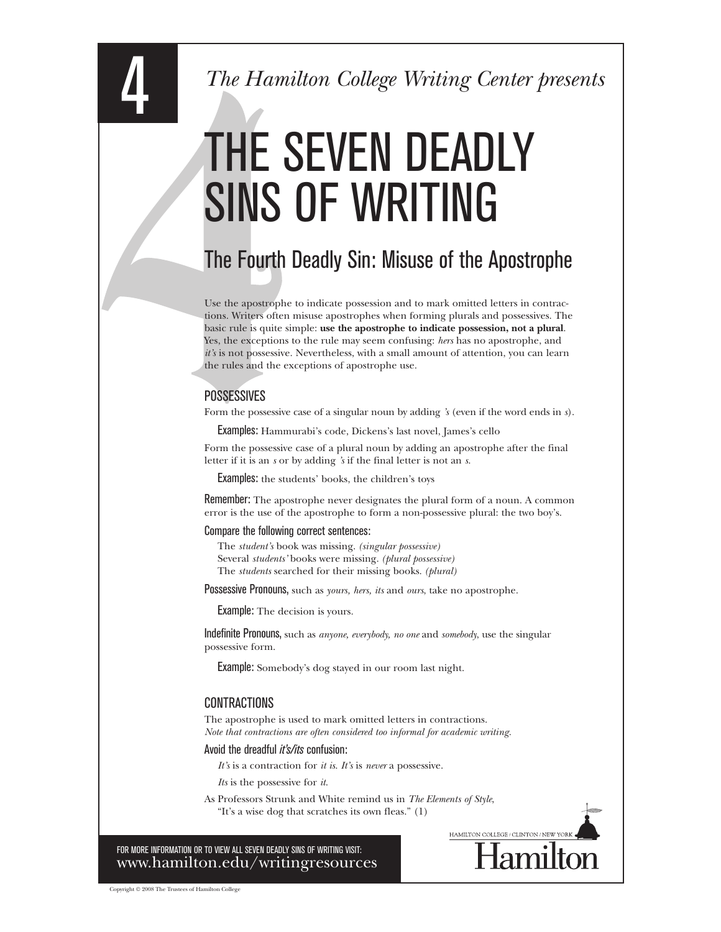# THE SEVEN DEADLY SINS OF WRITING

# The Fourth Deadly Sin: Misuse of the Apostrophe

Use the apostrophe to indicate possession and to mark omitted letters in contrac tions. Writers often misuse apostrophes when forming plurals and possessives. The basic rule is quite simple: use the apostrophe to indicate possession, not a plural. Yes, the exceptions to the rule may seem confusing: *hers* has no apostrophe, and *it's* is not possessive. Nevertheless, with a small amount of attention, you can learn the rules and the exceptions of apostrophe use.

#### **POSSESSIVES**

Form the possessive case of a singular noun by adding *'s* (even if the word ends in *s*).

Examples: Hammurabi's code, Dickens's last novel, James's cello

Form the possessive case of a plural noun by adding an apostrophe after the final letter if it is an *s* or by adding *'s* if the final letter is not an *s*.

Examples: the students' books, the children's toys

Remember: The apostrophe never designates the plural form of a noun. A common error is the use of the apostrophe to form a non possessive plural: the two boy's.

#### Compare the following correct sentences:

The *student's* book was missing. *(singular possessive)*  Several *students'* books were missing. *(plural possessive)*  The *students* searched for their missing books. *(plural)* 

Possessive Pronouns, such as *yours, hers, its* and *ours*, take no apostrophe.

Example: The decision is yours.

Indefinite Pronouns, such as *anyone, everybody, no one* and *somebody*, use the singular possessive form.

Example: Somebody's dog stayed in our room last night.

#### **CONTRACTIONS**

The apostrophe is used to mark omitted letters in contractions. *Note that contractions are often considered too informal for academic writing.* 

Avoid the dreadful *it's/its* confusion:

*It's* is a contraction for *it is*. *It's* is *never* a possessive.

*Its* is the possessive for *it*.

As Professors Strunk and White remind us in *The Elements of Style*, "It's a wise dog that scratches its own fleas." (1)

HAMILTON COLLEGE / CLINTON / NEW

FOR MORE INFORMATION OR TO VIEW ALL SEVEN DEADLY SINS OF WRITING VISIT: www.hamilton.edu/writingresources

Copyright © 2008 The Trustees of Hamilton College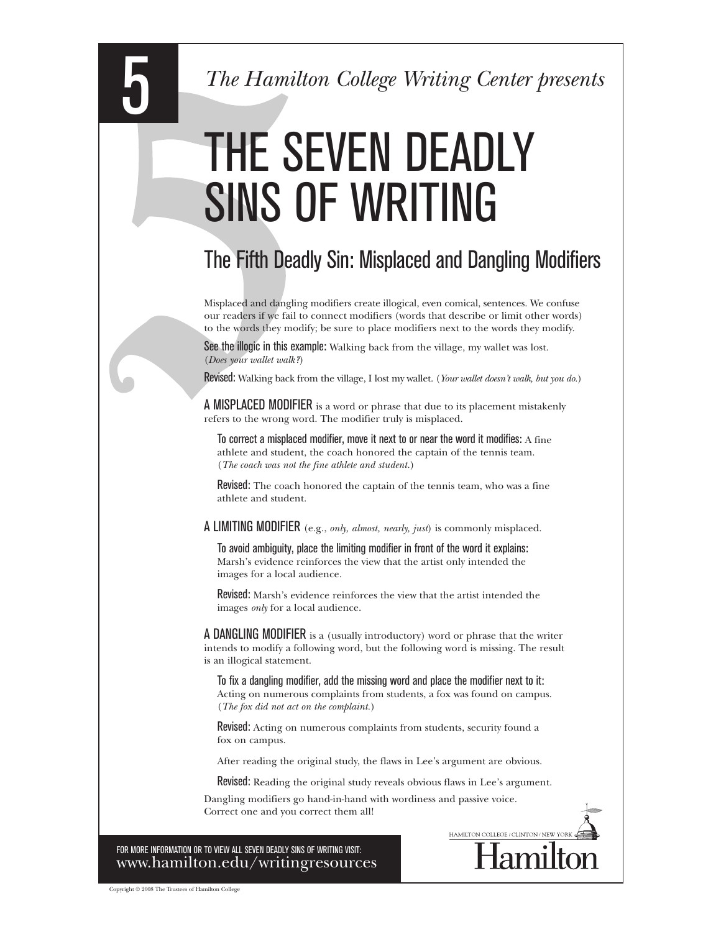# THE SEVEN DEADLY SINS OF WRITING

# The Fifth Deadly Sin: Misplaced and Dangling Modifiers

Misplaced and dangling modifiers create illogical, even comical, sentences. We confuse our readers if we fail to connect modifiers (words that describe or limit other words) to the words they modify; be sure to place modifiers next to the words they modify.

See the illogic in this example: Walking back from the village, my wallet was lost. (*Does your wallet walk?*)

Revised: Walking back from the village, I lost my wallet. (*Your wallet doesn't walk, but you do* )

A MISPLACED MODIFIER is a word or phrase that due to its placement mistakenly refers to the wrong word. The modifier truly is misplaced.

To correct a misplaced modifier, move it next to or near the word it modifies: A fine athlete and student, the coach honored the captain of the tennis team. (*The coach was not the fine athlete and student* )

Revised: The coach honored the captain of the tennis team, who was a fine athlete and student.

A LIMITING MODIFIER (e.g., *only, almost, nearly, just*) is commonly misplaced.

To avoid ambiguity, place the limiting modifier in front of the word it explains: Marsh's evidence reinforces the view that the artist only intended the images for a local audience.

Revised: Marsh's evidence reinforces the view that the artist intended the images *only* for a local audience.

A DANGLING MODIFIER is a (usually introductory) word or phrase that the writer intends to modify a following word, but the following word is missing. The result is an illogical statement.

To fix a dangling modifier, add the missing word and place the modifier next to it: Acting on numerous complaints from students, a fox was found on campus. (*The fox did not act on the complaint* )

Revised: Acting on numerous complaints from students, security found a fox on campus.

After reading the original study, the flaws in Lee's argument are obvious.

Revised: Reading the original study reveals obvious flaws in Lee's argument.

HAMILTON COLLEGE / CLINTON / NEW

Dangling modifiers go hand-in-hand with wordiness and passive voice. Correct one and you correct them all!

FOR MORE INFORMATION OR TO VIEW ALL SEVEN DEADLY SINS OF WRITING VISIT: www.hamilton.edu/writingresources

Copyright © 2008 The Trustees of Hamilton College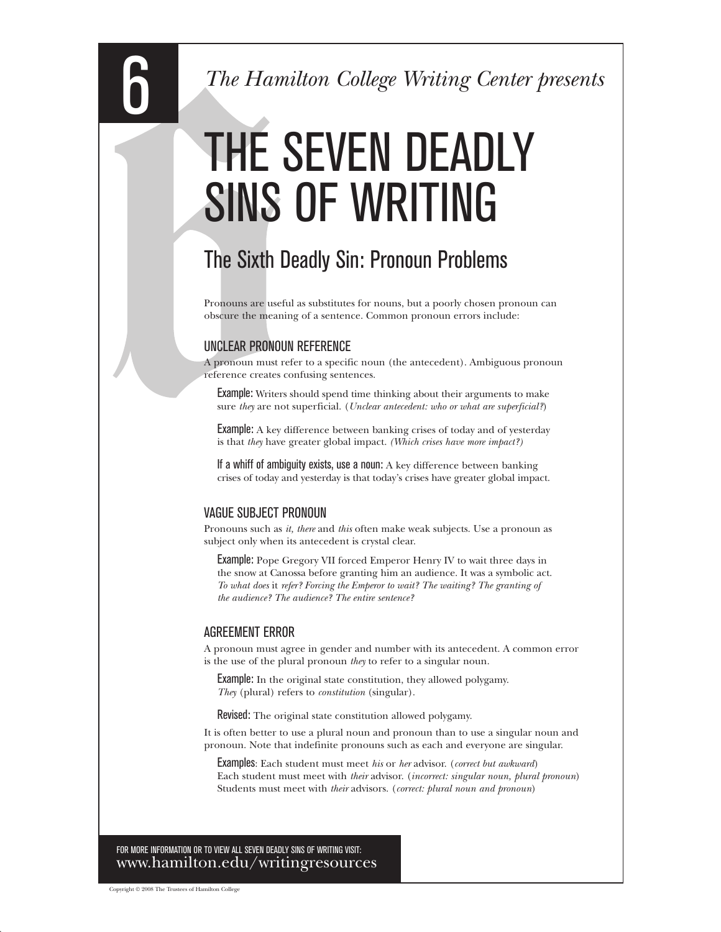# THE SEVEN DEADLY SINS OF WRITING

# The Sixth Deadly Sin: Pronoun Problems

Pronouns are useful as substitutes for nouns, but a poorly chosen pronoun can obscure the meaning of a sentence. Common pronoun errors include:

### UNCLEAR PRONOUN REFERENCE

A pronoun must refer to a specific noun (the antecedent). Ambiguous pronoun reference creates confusing sentences.

**Example:** Writers should spend time thinking about their arguments to make sure *they* are not superficial. (*Unclear antecedent: who or what are superficial?*)

Example: A key difference between banking crises of today and of yesterday is that *they* have greater global impact. *(Which crises have more impact?)* 

If a whiff of ambiguity exists, use a noun: A key difference between banking crises of today and yesterday is that today's crises have greater global impact.

### VAGUE SUBJECT PRONOUN

Pronouns such as *it, there* and *this* often make weak subjects. Use a pronoun as subject only when its antecedent is crystal clear.

Example: Pope Gregory VII forced Emperor Henry IV to wait three days in the snow at Canossa before granting him an audience. It was a symbolic act. *To what does* it *refer? Forcing the Emperor to wait? The waiting? The granting of the audience? The audience? The entire sentence?* 

#### AGREEMENT ERROR

A pronoun must agree in gender and number with its antecedent. A common error is the use of the plural pronoun *they* to refer to a singular noun.

**Example:** In the original state constitution, they allowed polygamy. *They* (plural) refers to *constitution* (singular).

Revised: The original state constitution allowed polygamy.

It is often better to use a plural noun and pronoun than to use a singular noun and pronoun. Note that indefinite pronouns such as each and everyone are singular.

Examples: Each student must meet *his* or *her* advisor. (*correct but awkward*) Each student must meet with *their* advisor. (*incorrect: singular noun, plural pronoun*) Students must meet with *their* advisors. (*correct: plural noun and pronoun*)